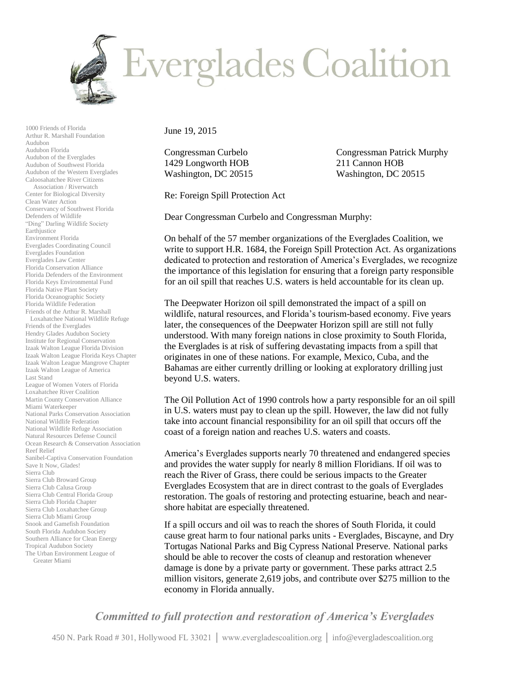

1000 Friends of Florida Arthur R. Marshall Foundation Audubon Audubon Florida Audubon of the Everglades Audubon of Southwest Florida Audubon of the Western Everglades Caloosahatchee River Citizens Association / Riverwatch Center for Biological Diversity Clean Water Action Conservancy of Southwest Florida Defenders of Wildlife "Ding" Darling Wildlife Society Earthjustice Environment Florida Everglades Coordinating Council Everglades Foundation Everglades Law Center Florida Conservation Alliance Florida Defenders of the Environment Florida Keys Environmental Fund Florida Native Plant Society Florida Oceanographic Society Florida Wildlife Federation Friends of the Arthur R. Marshall Loxahatchee National Wildlife Refuge Friends of the Everglades Hendry Glades Audubon Society Institute for Regional Conservation Izaak Walton League Florida Division Izaak Walton League Florida Keys Chapter Izaak Walton League Mangrove Chapter Izaak Walton League of America Last Stand League of Women Voters of Florida Loxahatchee River Coalition Martin County Conservation Alliance Miami Waterkeeper National Parks Conservation Association National Wildlife Federation National Wildlife Refuge Association Natural Resources Defense Council Ocean Research & Conservation Association Reef Relief Sanibel-Captiva Conservation Foundation Save It Now, Glades! Sierra Club Sierra Club Broward Group Sierra Club Calusa Group Sierra Club Central Florida Group Sierra Club Florida Chapter Sierra Club Loxahatchee Group Sierra Club Miami Group Snook and Gamefish Foundation South Florida Audubon Society Southern Alliance for Clean Energy Tropical Audubon Society The Urban Environment League of Greater Miami

June 19, 2015

1429 Longworth HOB 211 Cannon HOB Washington, DC 20515 Washington, DC 20515

Congressman Curbelo Congressman Patrick Murphy

Re: Foreign Spill Protection Act

Dear Congressman Curbelo and Congressman Murphy:

On behalf of the 57 member organizations of the Everglades Coalition, we write to support H.R. 1684, the Foreign Spill Protection Act. As organizations dedicated to protection and restoration of America's Everglades, we recognize the importance of this legislation for ensuring that a foreign party responsible for an oil spill that reaches U.S. waters is held accountable for its clean up.

The Deepwater Horizon oil spill demonstrated the impact of a spill on wildlife, natural resources, and Florida's tourism-based economy. Five years later, the consequences of the Deepwater Horizon spill are still not fully understood. With many foreign nations in close proximity to South Florida, the Everglades is at risk of suffering devastating impacts from a spill that originates in one of these nations. For example, Mexico, Cuba, and the Bahamas are either currently drilling or looking at exploratory drilling just beyond U.S. waters.

The Oil Pollution Act of 1990 controls how a party responsible for an oil spill in U.S. waters must pay to clean up the spill. However, the law did not fully take into account financial responsibility for an oil spill that occurs off the coast of a foreign nation and reaches U.S. waters and coasts.

America's Everglades supports nearly 70 threatened and endangered species and provides the water supply for nearly 8 million Floridians. If oil was to reach the River of Grass, there could be serious impacts to the Greater Everglades Ecosystem that are in direct contrast to the goals of Everglades restoration. The goals of restoring and protecting estuarine, beach and nearshore habitat are especially threatened.

If a spill occurs and oil was to reach the shores of South Florida, it could cause great harm to four national parks units - Everglades, Biscayne, and Dry Tortugas National Parks and Big Cypress National Preserve. National parks should be able to recover the costs of cleanup and restoration whenever damage is done by a private party or government. These parks attract 2.5 million visitors, generate 2,619 jobs, and contribute over \$275 million to the economy in Florida annually.

*Committed to full protection and restoration of America's Everglades*